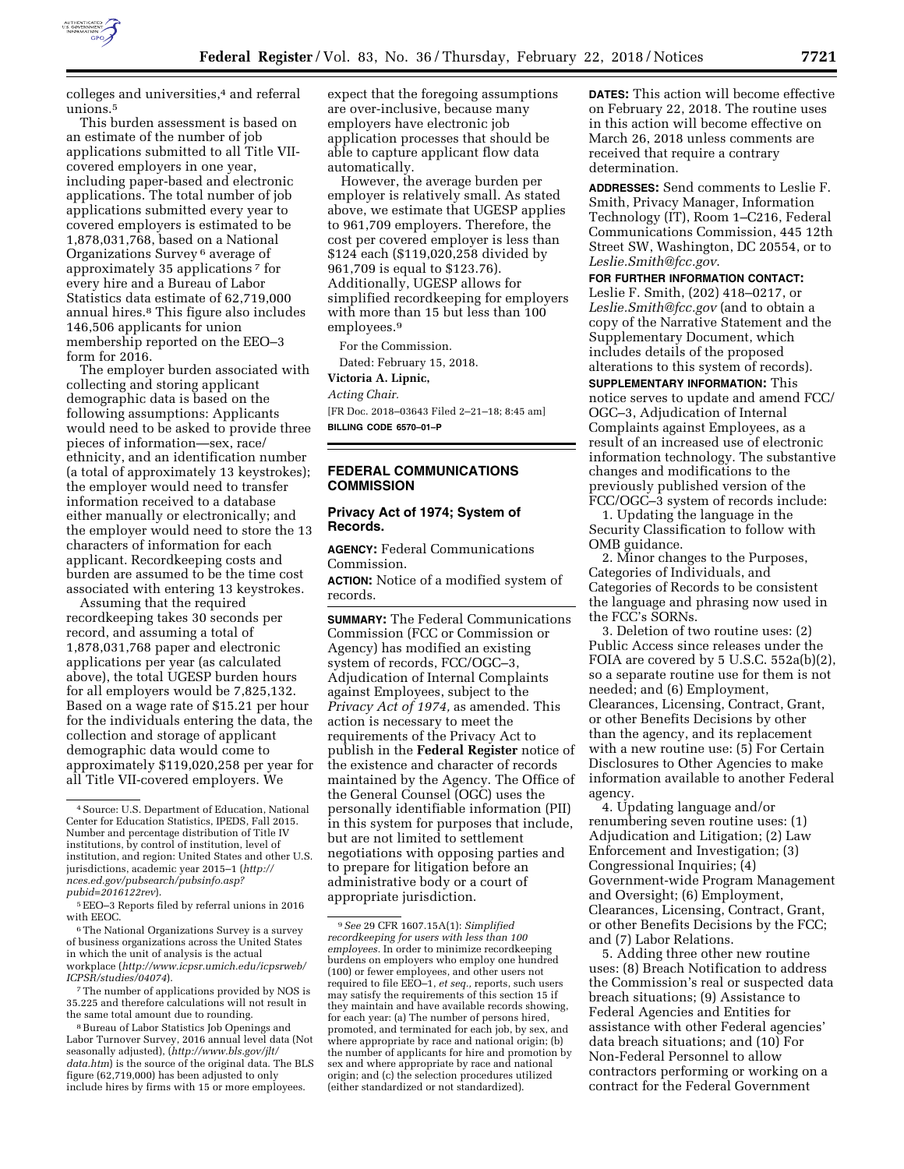

colleges and universities,<sup>4</sup> and referral unions.5

This burden assessment is based on an estimate of the number of job applications submitted to all Title VIIcovered employers in one year, including paper-based and electronic applications. The total number of job applications submitted every year to covered employers is estimated to be 1,878,031,768, based on a National Organizations Survey 6 average of approximately 35 applications 7 for every hire and a Bureau of Labor Statistics data estimate of 62,719,000 annual hires.8 This figure also includes 146,506 applicants for union membership reported on the EEO–3 form for 2016.

The employer burden associated with collecting and storing applicant demographic data is based on the following assumptions: Applicants would need to be asked to provide three pieces of information—sex, race/ ethnicity, and an identification number (a total of approximately 13 keystrokes); the employer would need to transfer information received to a database either manually or electronically; and the employer would need to store the 13 characters of information for each applicant. Recordkeeping costs and burden are assumed to be the time cost associated with entering 13 keystrokes.

Assuming that the required recordkeeping takes 30 seconds per record, and assuming a total of 1,878,031,768 paper and electronic applications per year (as calculated above), the total UGESP burden hours for all employers would be 7,825,132. Based on a wage rate of \$15.21 per hour for the individuals entering the data, the collection and storage of applicant demographic data would come to approximately \$119,020,258 per year for all Title VII-covered employers. We

7The number of applications provided by NOS is 35.225 and therefore calculations will not result in the same total amount due to rounding.

8Bureau of Labor Statistics Job Openings and Labor Turnover Survey, 2016 annual level data (Not seasonally adjusted), (*[http://www.bls.gov/jlt/](http://www.bls.gov/jlt/data.htm)  [data.htm](http://www.bls.gov/jlt/data.htm)*) is the source of the original data. The BLS figure (62,719,000) has been adjusted to only include hires by firms with 15 or more employees.

expect that the foregoing assumptions are over-inclusive, because many employers have electronic job application processes that should be able to capture applicant flow data automatically.

However, the average burden per employer is relatively small. As stated above, we estimate that UGESP applies to 961,709 employers. Therefore, the cost per covered employer is less than \$124 each (\$119,020,258 divided by 961,709 is equal to \$123.76). Additionally, UGESP allows for simplified recordkeeping for employers with more than 15 but less than 100 employees.9

For the Commission. Dated: February 15, 2018.

#### **Victoria A. Lipnic,**

*Acting Chair.* 

[FR Doc. 2018–03643 Filed 2–21–18; 8:45 am] **BILLING CODE 6570–01–P** 

# **FEDERAL COMMUNICATIONS COMMISSION**

## **Privacy Act of 1974; System of Records.**

**AGENCY:** Federal Communications Commission.

**ACTION:** Notice of a modified system of records.

**SUMMARY:** The Federal Communications Commission (FCC or Commission or Agency) has modified an existing system of records, FCC/OGC–3, Adjudication of Internal Complaints against Employees, subject to the *Privacy Act of 1974,* as amended. This action is necessary to meet the requirements of the Privacy Act to publish in the **Federal Register** notice of the existence and character of records maintained by the Agency. The Office of the General Counsel (OGC) uses the personally identifiable information (PII) in this system for purposes that include, but are not limited to settlement negotiations with opposing parties and to prepare for litigation before an administrative body or a court of appropriate jurisdiction.

**DATES:** This action will become effective on February 22, 2018. The routine uses in this action will become effective on March 26, 2018 unless comments are received that require a contrary determination.

**ADDRESSES:** Send comments to Leslie F. Smith, Privacy Manager, Information Technology (IT), Room 1–C216, Federal Communications Commission, 445 12th Street SW, Washington, DC 20554, or to *[Leslie.Smith@fcc.gov](mailto:Leslie.Smith@fcc.gov)*.

**FOR FURTHER INFORMATION CONTACT:**  Leslie F. Smith, (202) 418–0217, or *[Leslie.Smith@fcc.gov](mailto:Leslie.Smith@fcc.gov)* (and to obtain a copy of the Narrative Statement and the Supplementary Document, which includes details of the proposed alterations to this system of records).

**SUPPLEMENTARY INFORMATION:** This notice serves to update and amend FCC/ OGC–3, Adjudication of Internal Complaints against Employees, as a result of an increased use of electronic information technology. The substantive changes and modifications to the previously published version of the FCC/OGC–3 system of records include:

1. Updating the language in the Security Classification to follow with OMB guidance.

2. Minor changes to the Purposes, Categories of Individuals, and Categories of Records to be consistent the language and phrasing now used in the FCC's SORNs.

3. Deletion of two routine uses: (2) Public Access since releases under the FOIA are covered by 5 U.S.C. 552a(b)(2), so a separate routine use for them is not needed; and (6) Employment, Clearances, Licensing, Contract, Grant, or other Benefits Decisions by other than the agency, and its replacement with a new routine use: (5) For Certain Disclosures to Other Agencies to make information available to another Federal agency.

4. Updating language and/or renumbering seven routine uses: (1) Adjudication and Litigation; (2) Law Enforcement and Investigation; (3) Congressional Inquiries; (4) Government-wide Program Management and Oversight; (6) Employment, Clearances, Licensing, Contract, Grant, or other Benefits Decisions by the FCC; and (7) Labor Relations.

5. Adding three other new routine uses: (8) Breach Notification to address the Commission's real or suspected data breach situations; (9) Assistance to Federal Agencies and Entities for assistance with other Federal agencies' data breach situations; and (10) For Non-Federal Personnel to allow contractors performing or working on a contract for the Federal Government

<sup>4</sup>Source: U.S. Department of Education, National Center for Education Statistics, IPEDS, Fall 2015. Number and percentage distribution of Title IV institutions, by control of institution, level of institution, and region: United States and other U.S. jurisdictions, academic year 2015–1 (*[http://](http://nces.ed.gov/pubsearch/pubsinfo.asp?pubid=2016122rev) [nces.ed.gov/pubsearch/pubsinfo.asp?](http://nces.ed.gov/pubsearch/pubsinfo.asp?pubid=2016122rev) [pubid=2016122rev](http://nces.ed.gov/pubsearch/pubsinfo.asp?pubid=2016122rev)*).

<sup>5</sup>EEO–3 Reports filed by referral unions in 2016 with EEOC.

<sup>6</sup>The National Organizations Survey is a survey of business organizations across the United States in which the unit of analysis is the actual workplace (*[http://www.icpsr.umich.edu/icpsrweb/](http://www.icpsr.umich.edu/icpsrweb/ICPSR/studies/04074) [ICPSR/studies/04074](http://www.icpsr.umich.edu/icpsrweb/ICPSR/studies/04074)*).

<sup>9</sup>*See* 29 CFR 1607.15A(1): *Simplified recordkeeping for users with less than 100 employees.* In order to minimize recordkeeping burdens on employers who employ one hundred (100) or fewer employees, and other users not required to file EEO–1, *et seq.,* reports, such users may satisfy the requirements of this section 15 if they maintain and have available records showing, for each year: (a) The number of persons hired, promoted, and terminated for each job, by sex, and where appropriate by race and national origin; (b) the number of applicants for hire and promotion by sex and where appropriate by race and national origin; and (c) the selection procedures utilized (either standardized or not standardized).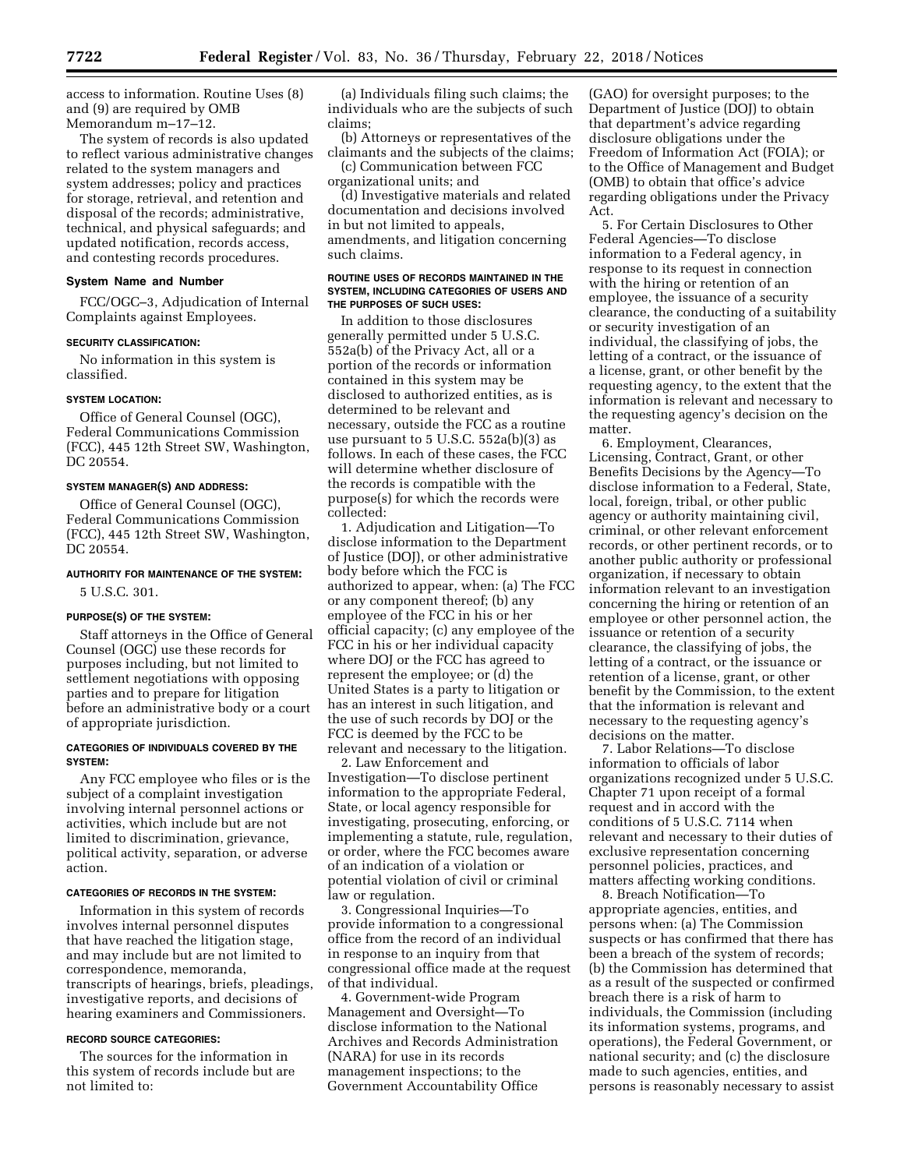access to information. Routine Uses (8) and (9) are required by OMB Memorandum m–17–12.

The system of records is also updated to reflect various administrative changes related to the system managers and system addresses; policy and practices for storage, retrieval, and retention and disposal of the records; administrative, technical, and physical safeguards; and updated notification, records access, and contesting records procedures.

## **System Name and Number**

FCC/OGC–3, Adjudication of Internal Complaints against Employees.

### **SECURITY CLASSIFICATION:**

No information in this system is classified.

#### **SYSTEM LOCATION:**

Office of General Counsel (OGC), Federal Communications Commission (FCC), 445 12th Street SW, Washington, DC 20554.

### **SYSTEM MANAGER(S) AND ADDRESS:**

Office of General Counsel (OGC), Federal Communications Commission (FCC), 445 12th Street SW, Washington, DC 20554.

# **AUTHORITY FOR MAINTENANCE OF THE SYSTEM:**  5 U.S.C. 301.

### **PURPOSE(S) OF THE SYSTEM:**

Staff attorneys in the Office of General Counsel (OGC) use these records for purposes including, but not limited to settlement negotiations with opposing parties and to prepare for litigation before an administrative body or a court of appropriate jurisdiction.

## **CATEGORIES OF INDIVIDUALS COVERED BY THE SYSTEM:**

Any FCC employee who files or is the subject of a complaint investigation involving internal personnel actions or activities, which include but are not limited to discrimination, grievance, political activity, separation, or adverse action.

## **CATEGORIES OF RECORDS IN THE SYSTEM:**

Information in this system of records involves internal personnel disputes that have reached the litigation stage, and may include but are not limited to correspondence, memoranda, transcripts of hearings, briefs, pleadings, investigative reports, and decisions of hearing examiners and Commissioners.

#### **RECORD SOURCE CATEGORIES:**

The sources for the information in this system of records include but are not limited to:

(a) Individuals filing such claims; the individuals who are the subjects of such claims;

(b) Attorneys or representatives of the claimants and the subjects of the claims;

(c) Communication between FCC organizational units; and

(d) Investigative materials and related documentation and decisions involved in but not limited to appeals, amendments, and litigation concerning such claims.

### **ROUTINE USES OF RECORDS MAINTAINED IN THE SYSTEM, INCLUDING CATEGORIES OF USERS AND THE PURPOSES OF SUCH USES:**

In addition to those disclosures generally permitted under 5 U.S.C. 552a(b) of the Privacy Act, all or a portion of the records or information contained in this system may be disclosed to authorized entities, as is determined to be relevant and necessary, outside the FCC as a routine use pursuant to 5 U.S.C. 552a(b)(3) as follows. In each of these cases, the FCC will determine whether disclosure of the records is compatible with the purpose(s) for which the records were collected:

1. Adjudication and Litigation—To disclose information to the Department of Justice (DOJ), or other administrative body before which the FCC is authorized to appear, when: (a) The FCC or any component thereof; (b) any employee of the FCC in his or her official capacity; (c) any employee of the FCC in his or her individual capacity where DOJ or the FCC has agreed to represent the employee; or (d) the United States is a party to litigation or has an interest in such litigation, and the use of such records by DOJ or the FCC is deemed by the FCC to be relevant and necessary to the litigation.

2. Law Enforcement and Investigation—To disclose pertinent information to the appropriate Federal, State, or local agency responsible for investigating, prosecuting, enforcing, or implementing a statute, rule, regulation, or order, where the FCC becomes aware of an indication of a violation or potential violation of civil or criminal law or regulation.

3. Congressional Inquiries—To provide information to a congressional office from the record of an individual in response to an inquiry from that congressional office made at the request of that individual.

4. Government-wide Program Management and Oversight—To disclose information to the National Archives and Records Administration (NARA) for use in its records management inspections; to the Government Accountability Office

(GAO) for oversight purposes; to the Department of Justice (DOJ) to obtain that department's advice regarding disclosure obligations under the Freedom of Information Act (FOIA); or to the Office of Management and Budget (OMB) to obtain that office's advice regarding obligations under the Privacy Act.

5. For Certain Disclosures to Other Federal Agencies—To disclose information to a Federal agency, in response to its request in connection with the hiring or retention of an employee, the issuance of a security clearance, the conducting of a suitability or security investigation of an individual, the classifying of jobs, the letting of a contract, or the issuance of a license, grant, or other benefit by the requesting agency, to the extent that the information is relevant and necessary to the requesting agency's decision on the matter.

6. Employment, Clearances, Licensing, Contract, Grant, or other Benefits Decisions by the Agency—To disclose information to a Federal, State, local, foreign, tribal, or other public agency or authority maintaining civil, criminal, or other relevant enforcement records, or other pertinent records, or to another public authority or professional organization, if necessary to obtain information relevant to an investigation concerning the hiring or retention of an employee or other personnel action, the issuance or retention of a security clearance, the classifying of jobs, the letting of a contract, or the issuance or retention of a license, grant, or other benefit by the Commission, to the extent that the information is relevant and necessary to the requesting agency's decisions on the matter.

7. Labor Relations—To disclose information to officials of labor organizations recognized under 5 U.S.C. Chapter 71 upon receipt of a formal request and in accord with the conditions of 5 U.S.C. 7114 when relevant and necessary to their duties of exclusive representation concerning personnel policies, practices, and matters affecting working conditions.

8. Breach Notification—To appropriate agencies, entities, and persons when: (a) The Commission suspects or has confirmed that there has been a breach of the system of records; (b) the Commission has determined that as a result of the suspected or confirmed breach there is a risk of harm to individuals, the Commission (including its information systems, programs, and operations), the Federal Government, or national security; and (c) the disclosure made to such agencies, entities, and persons is reasonably necessary to assist